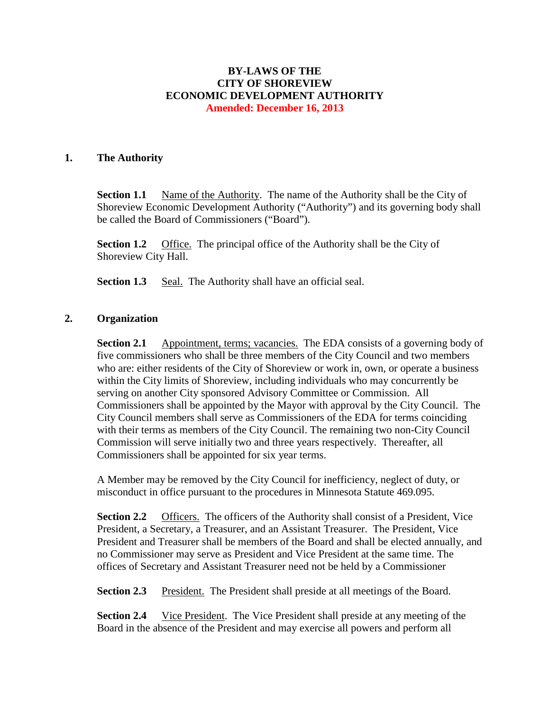### **BY-LAWS OF THE CITY OF SHOREVIEW ECONOMIC DEVELOPMENT AUTHORITY Amended: December 16, 2013**

#### **1. The Authority**

**Section 1.1** Name of the Authority. The name of the Authority shall be the City of Shoreview Economic Development Authority ("Authority") and its governing body shall be called the Board of Commissioners ("Board").

**Section 1.2** Office. The principal office of the Authority shall be the City of Shoreview City Hall.

**Section 1.3** Seal. The Authority shall have an official seal.

#### **2. Organization**

**Section 2.1** Appointment, terms; vacancies. The EDA consists of a governing body of five commissioners who shall be three members of the City Council and two members who are: either residents of the City of Shoreview or work in, own, or operate a business within the City limits of Shoreview, including individuals who may concurrently be serving on another City sponsored Advisory Committee or Commission. All Commissioners shall be appointed by the Mayor with approval by the City Council. The City Council members shall serve as Commissioners of the EDA for terms coinciding with their terms as members of the City Council. The remaining two non-City Council Commission will serve initially two and three years respectively. Thereafter, all Commissioners shall be appointed for six year terms.

A Member may be removed by the City Council for inefficiency, neglect of duty, or misconduct in office pursuant to the procedures in Minnesota Statute 469.095.

**Section 2.2** Officers. The officers of the Authority shall consist of a President, Vice President, a Secretary, a Treasurer, and an Assistant Treasurer. The President, Vice President and Treasurer shall be members of the Board and shall be elected annually, and no Commissioner may serve as President and Vice President at the same time. The offices of Secretary and Assistant Treasurer need not be held by a Commissioner

**Section 2.3** President. The President shall preside at all meetings of the Board.

**Section 2.4** Vice President. The Vice President shall preside at any meeting of the Board in the absence of the President and may exercise all powers and perform all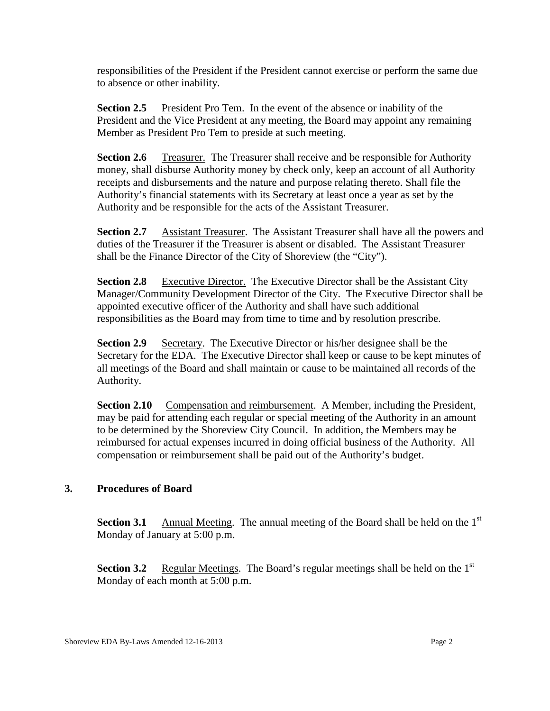responsibilities of the President if the President cannot exercise or perform the same due to absence or other inability.

**Section 2.5** President Pro Tem. In the event of the absence or inability of the President and the Vice President at any meeting, the Board may appoint any remaining Member as President Pro Tem to preside at such meeting.

**Section 2.6** Treasurer. The Treasurer shall receive and be responsible for Authority money, shall disburse Authority money by check only, keep an account of all Authority receipts and disbursements and the nature and purpose relating thereto. Shall file the Authority's financial statements with its Secretary at least once a year as set by the Authority and be responsible for the acts of the Assistant Treasurer.

**Section 2.7** Assistant Treasurer. The Assistant Treasurer shall have all the powers and duties of the Treasurer if the Treasurer is absent or disabled. The Assistant Treasurer shall be the Finance Director of the City of Shoreview (the "City").

**Section 2.8** Executive Director. The Executive Director shall be the Assistant City Manager/Community Development Director of the City. The Executive Director shall be appointed executive officer of the Authority and shall have such additional responsibilities as the Board may from time to time and by resolution prescribe.

**Section 2.9** Secretary. The Executive Director or his/her designee shall be the Secretary for the EDA. The Executive Director shall keep or cause to be kept minutes of all meetings of the Board and shall maintain or cause to be maintained all records of the Authority.

**Section 2.10** Compensation and reimbursement. A Member, including the President, may be paid for attending each regular or special meeting of the Authority in an amount to be determined by the Shoreview City Council. In addition, the Members may be reimbursed for actual expenses incurred in doing official business of the Authority. All compensation or reimbursement shall be paid out of the Authority's budget.

# **3. Procedures of Board**

**Section 3.1** Annual Meeting. The annual meeting of the Board shall be held on the  $1<sup>st</sup>$ Monday of January at 5:00 p.m.

**Section 3.2** Regular Meetings. The Board's regular meetings shall be held on the 1<sup>st</sup> Monday of each month at 5:00 p.m.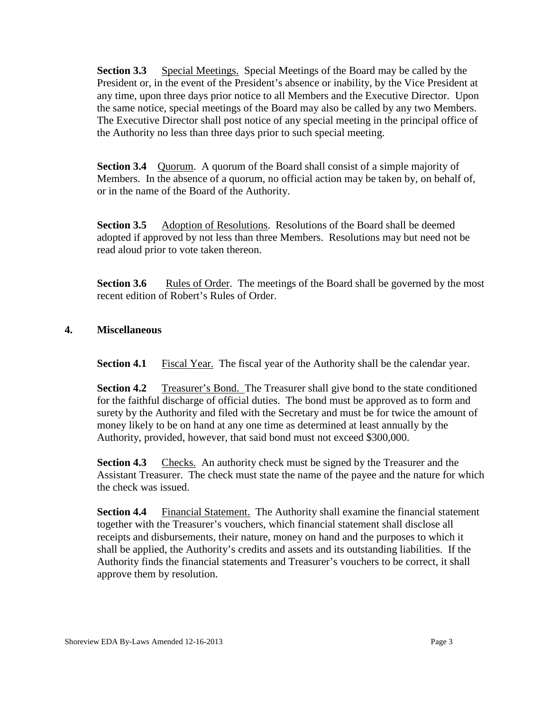**Section 3.3** Special Meetings. Special Meetings of the Board may be called by the President or, in the event of the President's absence or inability, by the Vice President at any time, upon three days prior notice to all Members and the Executive Director. Upon the same notice, special meetings of the Board may also be called by any two Members. The Executive Director shall post notice of any special meeting in the principal office of the Authority no less than three days prior to such special meeting.

**Section 3.4** Quorum. A quorum of the Board shall consist of a simple majority of Members. In the absence of a quorum, no official action may be taken by, on behalf of, or in the name of the Board of the Authority.

**Section 3.5** • Adoption of Resolutions. Resolutions of the Board shall be deemed adopted if approved by not less than three Members. Resolutions may but need not be read aloud prior to vote taken thereon.

**Section 3.6** Rules of Order. The meetings of the Board shall be governed by the most recent edition of Robert's Rules of Order.

## **4. Miscellaneous**

**Section 4.1** Fiscal Year. The fiscal year of the Authority shall be the calendar year.

**Section 4.2** Treasurer's Bond. The Treasurer shall give bond to the state conditioned for the faithful discharge of official duties. The bond must be approved as to form and surety by the Authority and filed with the Secretary and must be for twice the amount of money likely to be on hand at any one time as determined at least annually by the Authority, provided, however, that said bond must not exceed \$300,000.

**Section 4.3** Checks. An authority check must be signed by the Treasurer and the Assistant Treasurer. The check must state the name of the payee and the nature for which the check was issued.

**Section 4.4** Financial Statement. The Authority shall examine the financial statement together with the Treasurer's vouchers, which financial statement shall disclose all receipts and disbursements, their nature, money on hand and the purposes to which it shall be applied, the Authority's credits and assets and its outstanding liabilities. If the Authority finds the financial statements and Treasurer's vouchers to be correct, it shall approve them by resolution.